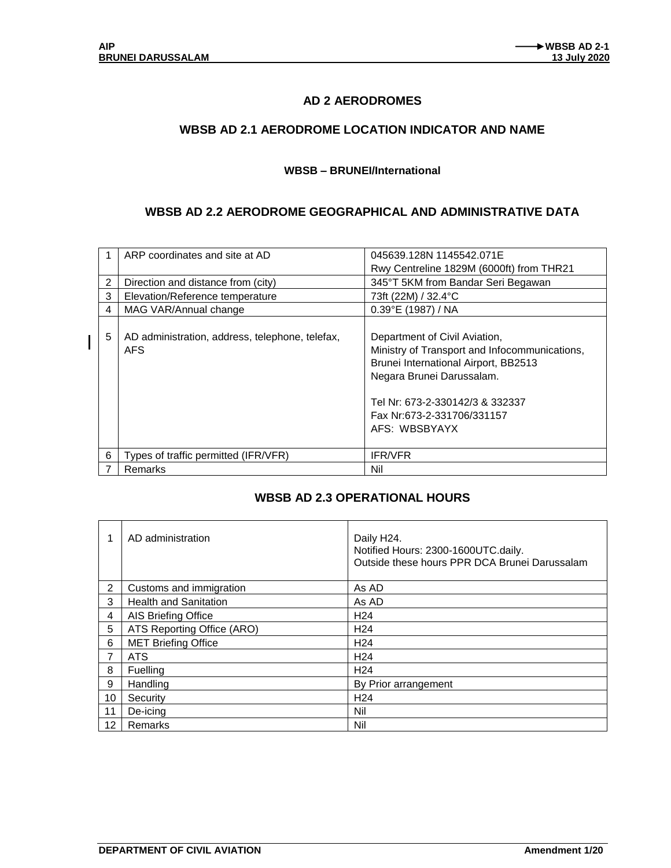$\mathbf{I}$ 

### **AD 2 AERODROMES**

### **WBSB AD 2.1 AERODROME LOCATION INDICATOR AND NAME**

#### **WBSB – BRUNEI/International**

### **WBSB AD 2.2 AERODROME GEOGRAPHICAL AND ADMINISTRATIVE DATA**

|   | ARP coordinates and site at AD                         | 045639.128N 1145542.071E                                                                                                                                                                                                              |
|---|--------------------------------------------------------|---------------------------------------------------------------------------------------------------------------------------------------------------------------------------------------------------------------------------------------|
|   |                                                        | Rwy Centreline 1829M (6000ft) from THR21                                                                                                                                                                                              |
| 2 | Direction and distance from (city)                     | 345°T 5KM from Bandar Seri Begawan                                                                                                                                                                                                    |
| 3 | Elevation/Reference temperature                        | 73ft (22M) / 32.4°C                                                                                                                                                                                                                   |
| 4 | MAG VAR/Annual change                                  | 0.39°E (1987) / NA                                                                                                                                                                                                                    |
| 5 | AD administration, address, telephone, telefax,<br>AFS | Department of Civil Aviation,<br>Ministry of Transport and Infocommunications,<br>Brunei International Airport, BB2513<br>Negara Brunei Darussalam.<br>Tel Nr: 673-2-330142/3 & 332337<br>Fax Nr:673-2-331706/331157<br>AFS: WBSBYAYX |
| 6 | Types of traffic permitted (IFR/VFR)                   | <b>IFR/VFR</b>                                                                                                                                                                                                                        |
| 7 | Remarks                                                | Nil                                                                                                                                                                                                                                   |

#### **WBSB AD 2.3 OPERATIONAL HOURS**

| 1                 | AD administration            | Daily H <sub>24</sub> .<br>Notified Hours: 2300-1600UTC.daily.<br>Outside these hours PPR DCA Brunei Darussalam |
|-------------------|------------------------------|-----------------------------------------------------------------------------------------------------------------|
| 2                 | Customs and immigration      | As AD                                                                                                           |
| 3                 | <b>Health and Sanitation</b> | As AD                                                                                                           |
| 4                 | AIS Briefing Office          | H <sub>24</sub>                                                                                                 |
| 5                 | ATS Reporting Office (ARO)   | H <sub>24</sub>                                                                                                 |
| 6                 | <b>MET Briefing Office</b>   | H <sub>24</sub>                                                                                                 |
| $\overline{7}$    | ATS                          | H <sub>24</sub>                                                                                                 |
| 8                 | Fuelling                     | H <sub>24</sub>                                                                                                 |
| 9                 | Handling                     | By Prior arrangement                                                                                            |
| 10                | Security                     | H <sub>24</sub>                                                                                                 |
| 11                | De-icing                     | Nil                                                                                                             |
| $12 \overline{ }$ | Remarks                      | Nil                                                                                                             |